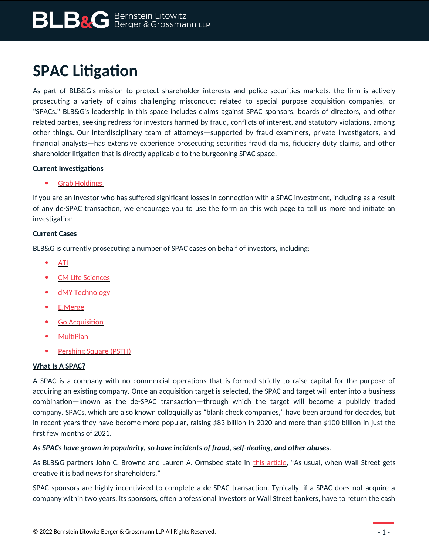# **SPAC Litigation**

As part of BLB&G's mission to protect shareholder interests and police securities markets, the firm is actively prosecuting a variety of claims challenging misconduct related to special purpose acquisition companies, or "SPACs." BLB&G's leadership in this space includes claims against SPAC sponsors, boards of directors, and other related parties, seeking redress for investors harmed by fraud, conflicts of interest, and statutory violations, among other things. Our interdisciplinary team of attorneys—supported by fraud examiners, private investigators, and financial analysts—has extensive experience prosecuting securities fraud claims, fiduciary duty claims, and other shareholder litigation that is directly applicable to the burgeoning SPAC space.

### **Current Investigations**

### [Grab Holdings](https://www.blbglaw.com/cases-investigations/grab-holdings-limited-investigation?utm_source=website&utm_medium=link&utm_campaign=case-landing-alert)

If you are an investor who has suffered significant losses in connection with a SPAC investment, including as a result of any de-SPAC transaction, we encourage you to use the form on this web page to tell us more and initiate an investigation.

### **Current Cases**

BLB&G is currently prosecuting a number of SPAC cases on behalf of investors, including:

- [ATI](https://www.blbglaw.com/cases-investigations/ati)
- [CM Life Sciences](https://www.blbglaw.com/cases-investigations/cm-life-sciences)
- [dMY Technology](https://www.blbglaw.com/cases-investigations/dmy-technology)
- [E.Merge](https://www.blbglaw.com/cases-investigations/emerge)
- [Go Acquisition](https://www.blbglaw.com/cases-investigations/go-web)
- **MultiPlan**
- [Pershing Square \(PSTH\)](https://www.blbglaw.com/cases-investigations/psth)

# **What Is A SPAC?**

A SPAC is a company with no commercial operations that is formed strictly to raise capital for the purpose of acquiring an existing company. Once an acquisition target is selected, the SPAC and target will enter into a business combination—known as the de-SPAC transaction—through which the target will become a publicly traded company. SPACs, which are also known colloquially as "blank check companies," have been around for decades, but in recent years they have become more popular, raising \$83 billion in 2020 and more than \$100 billion in just the first few months of 2021.

# *As SPACs have grown in popularity, so have incidents of fraud, self-dealing, and other abuses.*

As BLB&G partners John C. Browne and Lauren A. Ormsbee state in [this article](https://www.linkedin.com/pulse/year-spacs-incredible-rise-welcome-/), "As usual, when Wall Street gets creative it is bad news for shareholders."

SPAC sponsors are highly incentivized to complete a de-SPAC transaction. Typically, if a SPAC does not acquire a company within two years, its sponsors, often professional investors or Wall Street bankers, have to return the cash